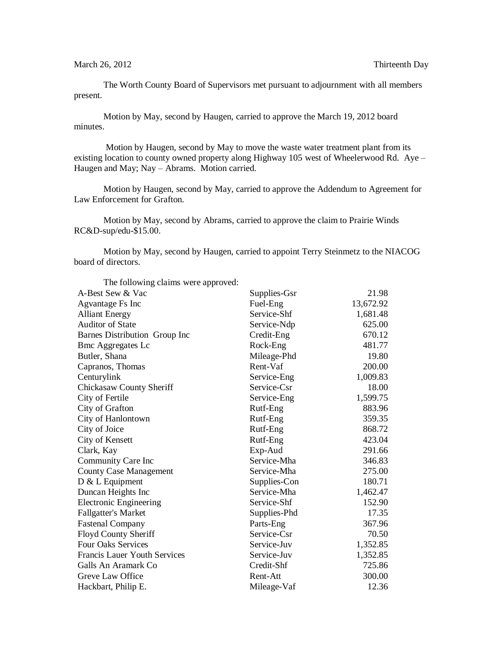The Worth County Board of Supervisors met pursuant to adjournment with all members present.

Motion by May, second by Haugen, carried to approve the March 19, 2012 board minutes.

Motion by Haugen, second by May to move the waste water treatment plant from its existing location to county owned property along Highway 105 west of Wheelerwood Rd. Aye – Haugen and May; Nay – Abrams. Motion carried.

Motion by Haugen, second by May, carried to approve the Addendum to Agreement for Law Enforcement for Grafton.

Motion by May, second by Abrams, carried to approve the claim to Prairie Winds RC&D-sup/edu-\$15.00.

Motion by May, second by Haugen, carried to appoint Terry Steinmetz to the NIACOG board of directors.

| The following claims were approved: |              |           |
|-------------------------------------|--------------|-----------|
| A-Best Sew & Vac                    | Supplies-Gsr | 21.98     |
| Agvantage Fs Inc                    | Fuel-Eng     | 13,672.92 |
| <b>Alliant Energy</b>               | Service-Shf  | 1,681.48  |
| <b>Auditor of State</b>             | Service-Ndp  | 625.00    |
| Barnes Distribution Group Inc       | Credit-Eng   | 670.12    |
| <b>Bmc Aggregates Lc</b>            | Rock-Eng     | 481.77    |
| Butler, Shana                       | Mileage-Phd  | 19.80     |
| Capranos, Thomas                    | Rent-Vaf     | 200.00    |
| Centurylink                         | Service-Eng  | 1,009.83  |
| <b>Chickasaw County Sheriff</b>     | Service-Csr  | 18.00     |
| City of Fertile                     | Service-Eng  | 1,599.75  |
| City of Grafton                     | Rutf-Eng     | 883.96    |
| City of Hanlontown                  | Rutf-Eng     | 359.35    |
| City of Joice                       | Rutf-Eng     | 868.72    |
| City of Kensett                     | Rutf-Eng     | 423.04    |
| Clark, Kay                          | Exp-Aud      | 291.66    |
| Community Care Inc                  | Service-Mha  | 346.83    |
| <b>County Case Management</b>       | Service-Mha  | 275.00    |
| $D & L$ Equipment                   | Supplies-Con | 180.71    |
| Duncan Heights Inc                  | Service-Mha  | 1,462.47  |
| <b>Electronic Engineering</b>       | Service-Shf  | 152.90    |
| <b>Fallgatter's Market</b>          | Supplies-Phd | 17.35     |
| <b>Fastenal Company</b>             | Parts-Eng    | 367.96    |
| Floyd County Sheriff                | Service-Csr  | 70.50     |
| <b>Four Oaks Services</b>           | Service-Juv  | 1,352.85  |
| <b>Francis Lauer Youth Services</b> | Service-Juv  | 1,352.85  |
| Galls An Aramark Co                 | Credit-Shf   | 725.86    |
| Greve Law Office                    | Rent-Att     | 300.00    |
| Hackbart, Philip E.                 | Mileage-Vaf  | 12.36     |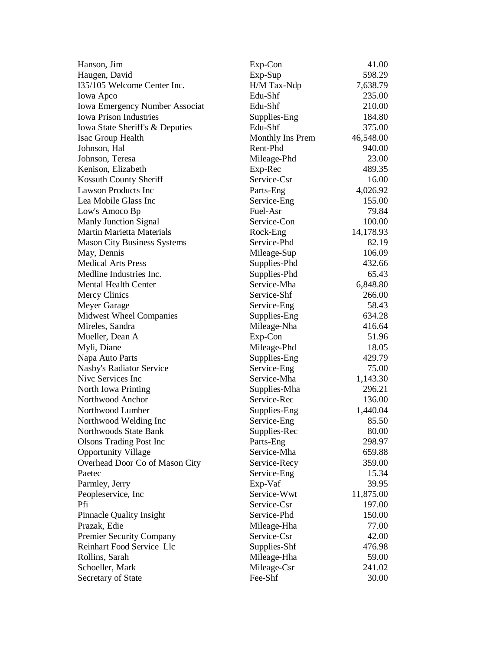| Hanson, Jim                           | Exp-Con          | 41.00     |
|---------------------------------------|------------------|-----------|
| Haugen, David                         | Exp-Sup          | 598.29    |
| I35/105 Welcome Center Inc.           | H/M Tax-Ndp      | 7,638.79  |
| Iowa Apco                             | Edu-Shf          | 235.00    |
| <b>Iowa Emergency Number Associat</b> | Edu-Shf          | 210.00    |
| <b>Iowa Prison Industries</b>         | Supplies-Eng     | 184.80    |
| Iowa State Sheriff's & Deputies       | Edu-Shf          | 375.00    |
| Isac Group Health                     | Monthly Ins Prem | 46,548.00 |
| Johnson, Hal                          | Rent-Phd         | 940.00    |
| Johnson, Teresa                       | Mileage-Phd      | 23.00     |
| Kenison, Elizabeth                    | Exp-Rec          | 489.35    |
| Kossuth County Sheriff                | Service-Csr      | 16.00     |
| <b>Lawson Products Inc</b>            | Parts-Eng        | 4,026.92  |
| Lea Mobile Glass Inc                  | Service-Eng      | 155.00    |
| Low's Amoco Bp                        | Fuel-Asr         | 79.84     |
| Manly Junction Signal                 | Service-Con      | 100.00    |
| <b>Martin Marietta Materials</b>      | Rock-Eng         | 14,178.93 |
| <b>Mason City Business Systems</b>    | Service-Phd      | 82.19     |
| May, Dennis                           | Mileage-Sup      | 106.09    |
| <b>Medical Arts Press</b>             | Supplies-Phd     | 432.66    |
| Medline Industries Inc.               | Supplies-Phd     | 65.43     |
| <b>Mental Health Center</b>           | Service-Mha      | 6,848.80  |
| <b>Mercy Clinics</b>                  | Service-Shf      | 266.00    |
| Meyer Garage                          | Service-Eng      | 58.43     |
| <b>Midwest Wheel Companies</b>        | Supplies-Eng     | 634.28    |
| Mireles, Sandra                       | Mileage-Nha      | 416.64    |
| Mueller, Dean A                       | Exp-Con          | 51.96     |
| Myli, Diane                           | Mileage-Phd      | 18.05     |
| Napa Auto Parts                       | Supplies-Eng     | 429.79    |
| Nasby's Radiator Service              | Service-Eng      | 75.00     |
| Nive Services Inc                     | Service-Mha      | 1,143.30  |
| North Iowa Printing                   | Supplies-Mha     | 296.21    |
| Northwood Anchor                      | Service-Rec      | 136.00    |
| Northwood Lumber                      | Supplies-Eng     | 1,440.04  |
| Northwood Welding Inc                 | Service-Eng      | 85.50     |
| Northwoods State Bank                 | Supplies-Rec     | 80.00     |
| <b>Olsons Trading Post Inc</b>        | Parts-Eng        | 298.97    |
| <b>Opportunity Village</b>            | Service-Mha      | 659.88    |
| Overhead Door Co of Mason City        | Service-Recy     | 359.00    |
| Paetec                                | Service-Eng      | 15.34     |
| Parmley, Jerry                        | Exp-Vaf          | 39.95     |
| Peopleservice, Inc.                   | Service-Wwt      | 11,875.00 |
| Pfi                                   | Service-Csr      | 197.00    |
| <b>Pinnacle Quality Insight</b>       | Service-Phd      | 150.00    |
| Prazak, Edie                          | Mileage-Hha      | 77.00     |
| <b>Premier Security Company</b>       | Service-Csr      | 42.00     |
| Reinhart Food Service Llc             | Supplies-Shf     | 476.98    |
| Rollins, Sarah                        | Mileage-Hha      | 59.00     |
| Schoeller, Mark                       | Mileage-Csr      | 241.02    |
| Secretary of State                    | Fee-Shf          | 30.00     |